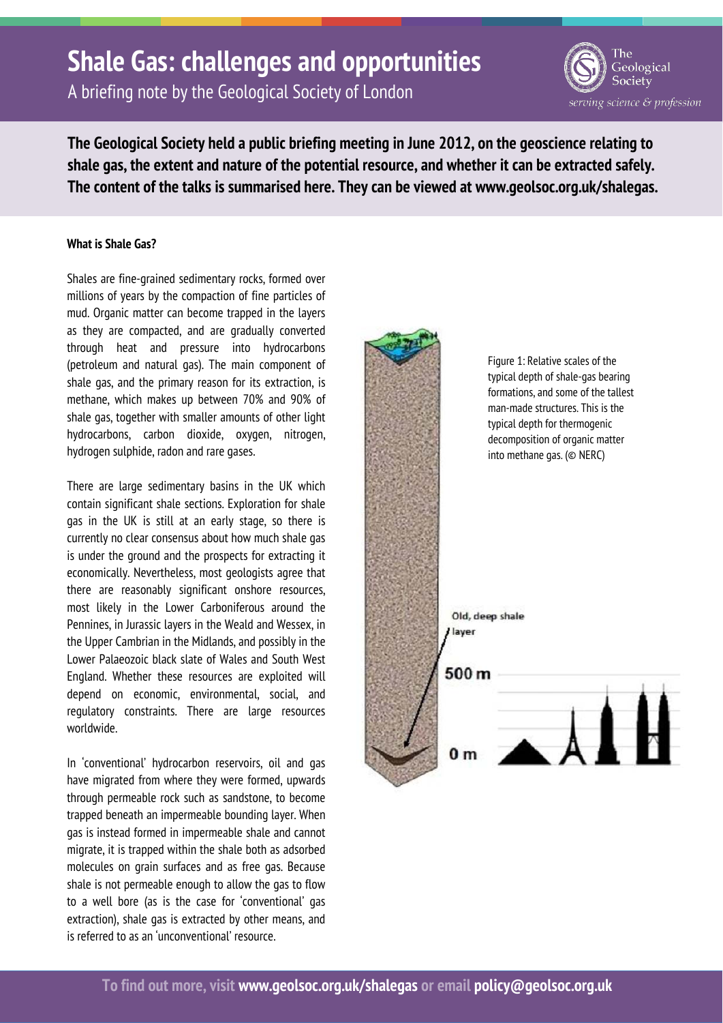# **Shale Gas: challenges and opportunities**

A briefing note by the Geological Society of London

Geological Society serving science & profession

**The Geological Society held a public briefing meeting in June 2012, on the geoscience relating to shale gas, the extent and nature of the potential resource, and whether it can be extracted safely. The content of the talks is summarised here. They can be viewed at www.geolsoc.org.uk/shalegas.** 

### **What is Shale Gas?**

Shales are fine-grained sedimentary rocks, formed over millions of years by the compaction of fine particles of mud. Organic matter can become trapped in the layers as they are compacted, and are gradually converted through heat and pressure into hydrocarbons (petroleum and natural gas). The main component of shale gas, and the primary reason for its extraction, is methane, which makes up between 70% and 90% of shale gas, together with smaller amounts of other light hydrocarbons, carbon dioxide, oxygen, nitrogen, hydrogen sulphide, radon and rare gases.

There are large sedimentary basins in the UK which contain significant shale sections. Exploration for shale gas in the UK is still at an early stage, so there is currently no clear consensus about how much shale gas is under the ground and the prospects for extracting it economically. Nevertheless, most geologists agree that there are reasonably significant onshore resources, most likely in the Lower Carboniferous around the Pennines, in Jurassic layers in the Weald and Wessex, in the Upper Cambrian in the Midlands, and possibly in the Lower Palaeozoic black slate of Wales and South West England. Whether these resources are exploited will depend on economic, environmental, social, and regulatory constraints. There are large resources worldwide.

In 'conventional' hydrocarbon reservoirs, oil and gas have migrated from where they were formed, upwards through permeable rock such as sandstone, to become trapped beneath an impermeable bounding layer. When gas is instead formed in impermeable shale and cannot migrate, it is trapped within the shale both as adsorbed molecules on grain surfaces and as free gas. Because shale is not permeable enough to allow the gas to flow to a well bore (as is the case for 'conventional' gas extraction), shale gas is extracted by other means, and is referred to as an 'unconventional' resource.

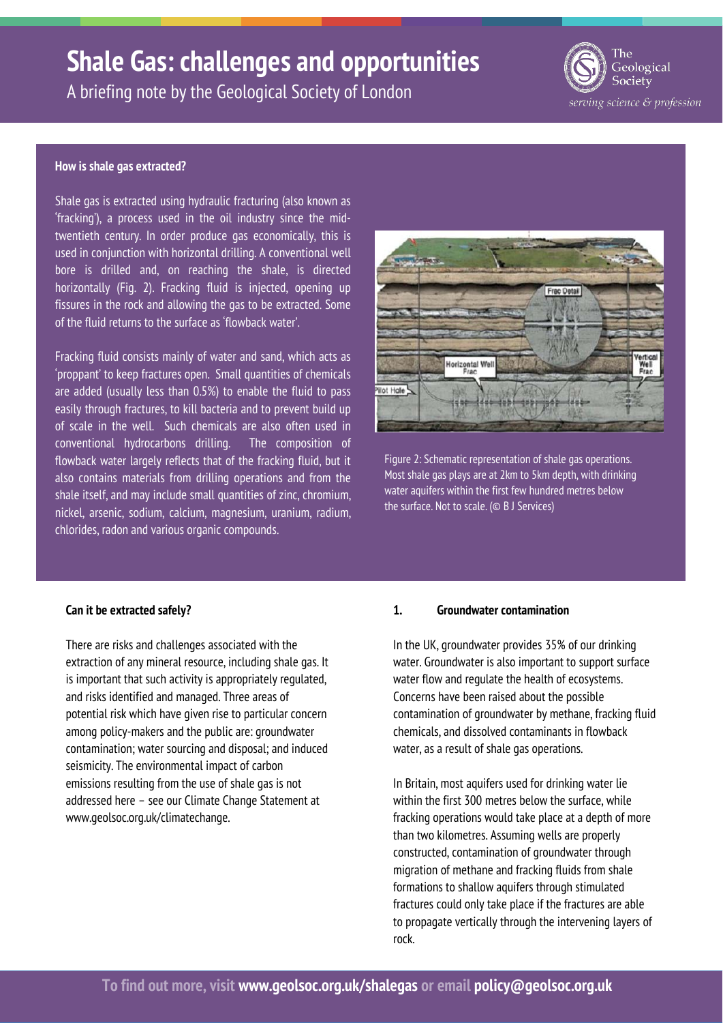# **Shale Gas: challenges and opportunities**



A briefing note by the Geological Society of London

#### **How is shale gas extracted?**

Shale gas is extracted using hydraulic fracturing (also known as 'fracking'), a process used in the oil industry since the midtwentieth century. In order produce gas economically, this is used in conjunction with horizontal drilling. A conventional well bore is drilled and, on reaching the shale, is directed horizontally (Fig. 2). Fracking fluid is injected, opening up fissures in the rock and allowing the gas to be extracted. Some of the fluid returns to the surface as 'flowback water'.

Fracking fluid consists mainly of water and sand, which acts as 'proppant' to keep fractures open. Small quantities of chemicals are added (usually less than 0.5%) to enable the fluid to pass easily through fractures, to kill bacteria and to prevent build up of scale in the well. Such chemicals are also often used in conventional hydrocarbons drilling. The composition of flowback water largely reflects that of the fracking fluid, but it also contains materials from drilling operations and from the shale itself, and may include small quantities of zinc, chromium, nickel, arsenic, sodium, calcium, magnesium, uranium, radium, chlorides, radon and various organic compounds.



Figure 2: Schematic representation of shale gas operations. Most shale gas plays are at 2km to 5km depth, with drinking water aquifers within the first few hundred metres below the surface. Not to scale. (© B J Services)

### **Can it be extracted safely?**

There are risks and challenges associated with the extraction of any mineral resource, including shale gas. It is important that such activity is appropriately regulated, and risks identified and managed. Three areas of potential risk which have given rise to particular concern among policy-makers and the public are: groundwater contamination; water sourcing and disposal; and induced seismicity. The environmental impact of carbon emissions resulting from the use of shale gas is not addressed here – see our Climate Change Statement at www.geolsoc.org.uk/climatechange.

#### **1. Groundwater contamination**

In the UK, groundwater provides 35% of our drinking water. Groundwater is also important to support surface water flow and regulate the health of ecosystems. Concerns have been raised about the possible contamination of groundwater by methane, fracking fluid chemicals, and dissolved contaminants in flowback water, as a result of shale gas operations.

In Britain, most aquifers used for drinking water lie within the first 300 metres below the surface, while fracking operations would take place at a depth of more than two kilometres. Assuming wells are properly constructed, contamination of groundwater through migration of methane and fracking fluids from shale formations to shallow aquifers through stimulated fractures could only take place if the fractures are able to propagate vertically through the intervening layers of rock.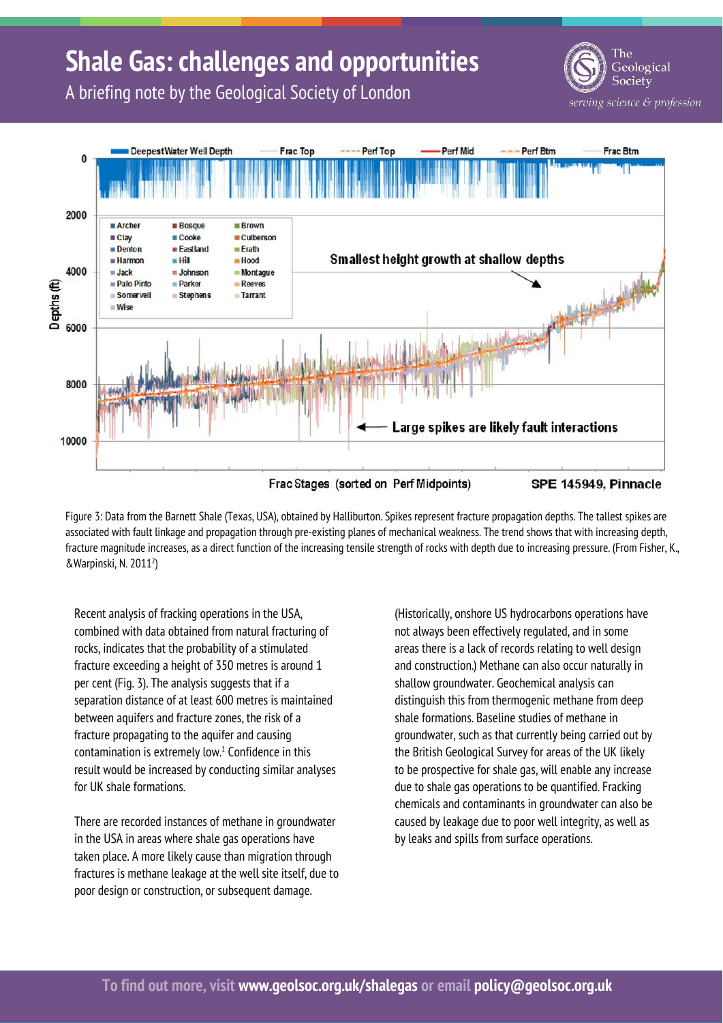# **Shale Gas: challenges and opportunities**

Geological Society serving science & profession

A briefing note by the Geological Society of London



Figure 3: Data from the Barnett Shale (Texas, USA), obtained by Halliburton. Spikes represent fracture propagation depths. The tallest spikes are associated with fault linkage and propagation through pre-existing planes of mechanical weakness. The trend shows that with increasing depth, fracture magnitude increases, as a direct function of the increasing tensile strength of rocks with depth due to increasing pressure. (From Fisher, K., &Warpinski, N. 20112 )

Recent analysis of fracking operations in the USA, combined with data obtained from natural fracturing of rocks, indicates that the probability of a stimulated fracture exceeding a height of 350 metres is around 1 per cent (Fig. 3). The analysis suggests that if a separation distance of at least 600 metres is maintained between aquifers and fracture zones, the risk of a fracture propagating to the aquifer and causing  $contamination$  is extremely low. $<sup>1</sup>$  Confidence in this</sup> result would be increased by conducting similar analyses for UK shale formations.

There are recorded instances of methane in groundwater in the USA in areas where shale gas operations have taken place. A more likely cause than migration through fractures is methane leakage at the well site itself, due to poor design or construction, or subsequent damage.

(Historically, onshore US hydrocarbons operations have not always been effectively regulated, and in some areas there is a lack of records relating to well design and construction.) Methane can also occur naturally in shallow groundwater. Geochemical analysis can distinguish this from thermogenic methane from deep shale formations. Baseline studies of methane in groundwater, such as that currently being carried out by the British Geological Survey for areas of the UK likely to be prospective for shale gas, will enable any increase due to shale gas operations to be quantified. Fracking chemicals and contaminants in groundwater can also be caused by leakage due to poor well integrity, as well as by leaks and spills from surface operations.